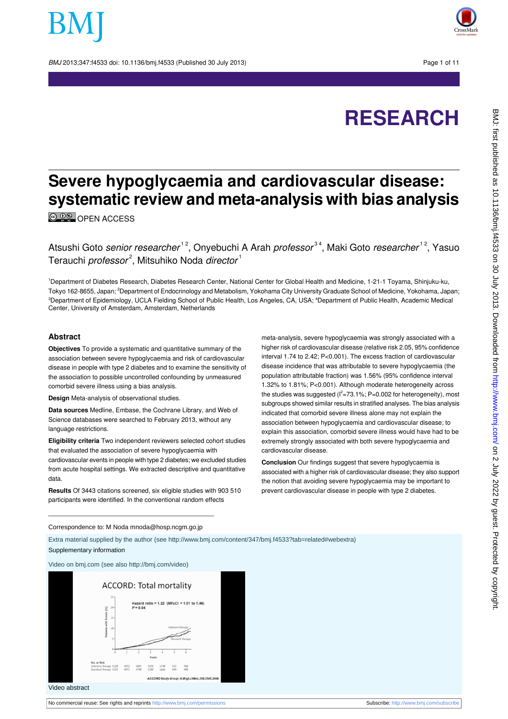BMJ 2013:347:f4533 doi: 10.1136/bmj.f4533 (Published 30 July 2013) Page 1 of 11



# **RESEARCH**

# **Severe hypoglycaemia and cardiovascular disease: systematic review and meta-analysis with bias analysis**

**© 00** [OPEN ACCESS](http://creativecommons.org/licenses/by-nc/3.0/)

Atsushi Goto senior researcher<sup>12</sup>, Onyebuchi A Arah professor<sup>34</sup>, Maki Goto researcher<sup>12</sup>, Yasuo Terauchi *professor<sup>2</sup>,* Mitsuhiko Noda *director* 1

<sup>1</sup>Department of Diabetes Research, Diabetes Research Center, National Center for Global Health and Medicine, 1-21-1 Toyama, Shinjuku-ku, Tokyo 162-8655, Japan; <sup>2</sup>Department of Endocrinology and Metabolism, Yokohama City University Graduate School of Medicine, Yokohama, Japan; <sup>3</sup>Department of Epidemiology, UCLA Fielding School of Public Health, Los Angeles, CA, USA; <sup>4</sup>Department of Public Health, Academic Medical Center, University of Amsterdam, Amsterdam, Netherlands

#### **Abstract**

**Objectives** To provide a systematic and quantitative summary of the association between severe hypoglycaemia and risk of cardiovascular disease in people with type 2 diabetes and to examine the sensitivity of the association to possible uncontrolled confounding by unmeasured comorbid severe illness using a bias analysis.

**Design** Meta-analysis of observational studies.

**Data sources** Medline, Embase, the Cochrane Library, and Web of Science databases were searched to February 2013, without any language restrictions.

**Eligibility criteria** Two independent reviewers selected cohort studies that evaluated the association of severe hypoglycaemia with cardiovascular events in people with type 2 diabetes; we excluded studies from acute hospital settings. We extracted descriptive and quantitative data.

**Results** Of 3443 citations screened, six eligible studies with 903 510 participants were identified. In the conventional random effects

meta-analysis, severe hypoglycaemia was strongly associated with a higher risk of cardiovascular disease (relative risk 2.05, 95% confidence interval 1.74 to 2.42; P<0.001). The excess fraction of cardiovascular disease incidence that was attributable to severe hypoglycaemia (the population attributable fraction) was 1.56% (95% confidence interval 1.32% to 1.81%; P<0.001). Although moderate heterogeneity across the studies was suggested ( $I^2$ =73.1%; P=0.002 for heterogeneity), most subgroups showed similar results in stratified analyses. The bias analysis indicated that comorbid severe illness alone may not explain the association between hypoglycaemia and cardiovascular disease; to explain this association, comorbid severe illness would have had to be extremely strongly associated with both severe hypoglycaemia and cardiovascular disease.

**Conclusion** Our findings suggest that severe hypoglycaemia is associated with a higher risk of cardiovascular disease; they also support the notion that avoiding severe hypoglycaemia may be important to prevent cardiovascular disease in people with type 2 diabetes.

#### Correspondence to: M Noda mnoda@hosp.ncgm.go.jp

Extra material supplied by the author (see [http://www.bmj.com/content/347/bmj.f4533?tab=related#webextra\)](http://www.bmj.com/content/347/bmj.f4533?tab=related#webextra) Supplementary information





Video abstract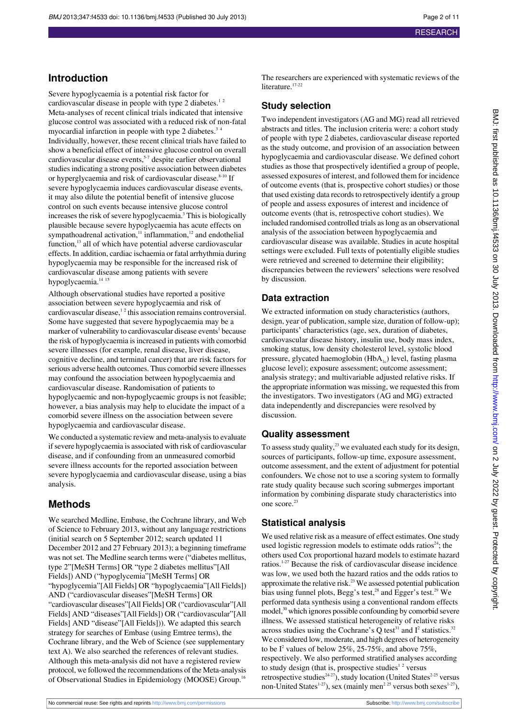## **Introduction**

Severe hypoglycaemia is a potential risk factor for cardiovascular disease in people with type 2 diabetes. $12$ Meta-analyses of recent clinical trials indicated that intensive glucose control was associated with a reduced risk of non-fatal myocardial infarction in people with type 2 diabetes. $34$ Individually, however, these recent clinical trials have failed to show a beneficial effect of intensive glucose control on overall cardiovascular disease events,<sup>5-7</sup> despite earlier observational studies indicating a strong positive association between diabetes or hyperglycaemia and risk of cardiovascular disease.<sup>8-10</sup> If severe hypoglycaemia induces cardiovascular disease events, it may also dilute the potential benefit of intensive glucose control on such events because intensive glucose control increases the risk of severe hypoglycaemia.<sup>3</sup> This is biologically plausible because severe hypoglycaemia has acute effects on sympathoadrenal activation,<sup>11</sup> inflammation,<sup>12</sup> and endothelial function,<sup>13</sup> all of which have potential adverse cardiovascular effects. In addition, cardiac ischaemia or fatal arrhythmia during hypoglycaemia may be responsible for the increased risk of cardiovascular disease among patients with severe hypoglycaemia.<sup>14</sup><sup>15</sup>

Although observational studies have reported a positive association between severe hypoglycaemia and risk of cardiovascular disease, $1<sup>2</sup>$  this association remains controversial. Some have suggested that severe hypoglycaemia may be a marker of vulnerability to cardiovascular disease events<sup>1</sup> because the risk of hypoglycaemia is increased in patients with comorbid severe illnesses (for example, renal disease, liver disease, cognitive decline, and terminal cancer) that are risk factors for serious adverse health outcomes. Thus comorbid severe illnesses may confound the association between hypoglycaemia and cardiovascular disease. Randomisation of patients to hypoglycaemic and non-hypoglycaemic groups is not feasible; however, a bias analysis may help to elucidate the impact of a comorbid severe illness on the association between severe hypoglycaemia and cardiovascular disease.

We conducted a systematic review and meta-analysis to evaluate if severe hypoglycaemia is associated with risk of cardiovascular disease, and if confounding from an unmeasured comorbid severe illness accounts for the reported association between severe hypoglycaemia and cardiovascular disease, using a bias analysis.

## **Methods**

We searched Medline, Embase, the Cochrane library, and Web of Science to February 2013, without any language restrictions (initial search on 5 September 2012; search updated 11 December 2012 and 27 February 2013); a beginning timeframe was not set. The Medline search terms were ("diabetes mellitus, type 2"[MeSH Terms] OR "type 2 diabetes mellitus"[All Fields]) AND ("hypoglycemia"[MeSH Terms] OR "hypoglycemia"[All Fields] OR "hypoglycaemia"[All Fields]) AND ("cardiovascular diseases"[MeSH Terms] OR "cardiovascular diseases"[All Fields] OR ("cardiovascular"[All Fields] AND "diseases"[All Fields]) OR ("cardiovascular"[All Fields] AND "disease"[All Fields])). We adapted this search strategy for searches of Embase (using Emtree terms), the Cochrane library, and the Web of Science (see supplementary text A). We also searched the references of relevant studies. Although this meta-analysis did not have a registered review protocol, we followed the recommendations of the Meta-analysis of Observational Studies in Epidemiology (MOOSE) Group.<sup>16</sup>

The researchers are experienced with systematic reviews of the literature.<sup>17-22</sup>

#### **Study selection**

Two independent investigators (AG and MG) read all retrieved abstracts and titles. The inclusion criteria were: a cohort study of people with type 2 diabetes, cardiovascular disease reported as the study outcome, and provision of an association between hypoglycaemia and cardiovascular disease. We defined cohort studies as those that prospectively identified a group of people, assessed exposures of interest, and followed them for incidence of outcome events (that is, prospective cohort studies) or those that used existing data records to retrospectively identify a group of people and assess exposures of interest and incidence of outcome events (that is, retrospective cohort studies). We included randomised controlled trials as long as an observational analysis of the association between hypoglycaemia and cardiovascular disease was available. Studies in acute hospital settings were excluded. Full texts of potentially eligible studies were retrieved and screened to determine their eligibility; discrepancies between the reviewers' selections were resolved by discussion.

## **Data extraction**

We extracted information on study characteristics (authors, design, year of publication, sample size, duration of follow-up); participants' characteristics (age, sex, duration of diabetes, cardiovascular disease history, insulin use, body mass index, smoking status, low density cholesterol level, systolic blood pressure, glycated haemoglobin  $(HbA<sub>1c</sub>)$  level, fasting plasma glucose level); exposure assessment; outcome assessment; analysis strategy; and multivariable adjusted relative risks. If the appropriate information was missing, we requested this from the investigators. Two investigators (AG and MG) extracted data independently and discrepancies were resolved by discussion.

## **Quality assessment**

To assess study quality, $^{23}$  we evaluated each study for its design, sources of participants, follow-up time, exposure assessment, outcome assessment, and the extent of adjustment for potential confounders. We chose not to use a scoring system to formally rate study quality because such scoring submerges important information by combining disparate study characteristics into one score.<sup>23</sup>

## **Statistical analysis**

We used relative risk as a measure of effect estimates. One study used logistic regression models to estimate odds ratios $24$ ; the others used Cox proportional hazard models to estimate hazard ratios.1-27 Because the risk of cardiovascular disease incidence was low, we used both the hazard ratios and the odds ratios to approximate the relative risk.<sup>23</sup> We assessed potential publication bias using funnel plots, Begg's test,<sup>28</sup> and Egger's test.<sup>29</sup> We performed data synthesis using a conventional random effects model,<sup>30</sup> which ignores possible confounding by comorbid severe illness. We assessed statistical heterogeneity of relative risks across studies using the Cochrane's Q test<sup>31</sup> and  $I^2$  statistics.<sup>32</sup> We considered low, moderate, and high degrees of heterogeneity to be  $I^2$  values of below 25%, 25-75%, and above 75%, respectively. We also performed stratified analyses according to study design (that is, prospective studies<sup>12</sup> versus retrospective studies<sup>24-27</sup>), study location (United States<sup>2-25</sup> versus non-United States<sup>1-27</sup>), sex (mainly men<sup>2 25</sup> versus both sexes<sup>1-27</sup>),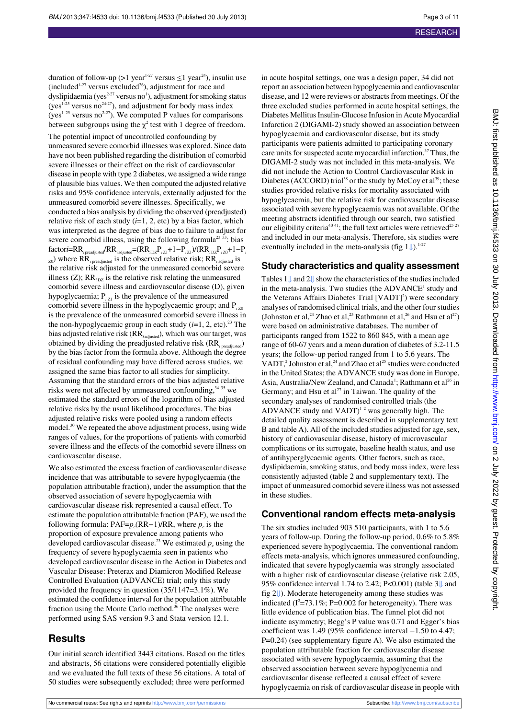duration of follow-up (>1 year<sup>1-27</sup> versus  $\leq$ 1 year<sup>24</sup>), insulin use (included<sup>1-27</sup> versus excluded<sup>26</sup>), adjustment for race and dyslipidaemia (yes $^{2\times 27}$  versus no<sup>1</sup>), adjustment for smoking status (yes<sup>1-25</sup> versus no<sup>24-27</sup>), and adjustment for body mass index (yes<sup>1 25</sup> versus no<sup>2-27</sup>). We computed P values for comparisons between subgroups using the  $\chi^2$  test with 1 degree of freedom.

The potential impact of uncontrolled confounding by unmeasured severe comorbid illnesses was explored. Since data have not been published regarding the distribution of comorbid severe illnesses or their effect on the risk of cardiovascular disease in people with type 2 diabetes, we assigned a wide range of plausible bias values. We then computed the adjusted relative risks and 95% confidence intervals, externally adjusted for the unmeasured comorbid severe illnesses. Specifically, we conducted a bias analysis by dividing the observed (preadjusted) relative risk of each study (*i*=1, 2, etc) by a bias factor, which was interpreted as the degree of bias due to failure to adjust for severe comorbid illness, using the following formula<sup>23 33</sup>: bias  $factori=RR$ <sub>*i* preadjusted</sub> $/RR$ <sub>*i* adjusted</sub>= $(RR$ <sub>*i*DZ</sub>P<sub>*iZ1</sub>*+1−P<sub>*iZ1</sub>*)/ $(RR$ <sub>*iDZ</sub>P<sub><i>iZ0</sub>*+1−P<sup>*i*</sup></sup></sub></sub></sub></sub>  $_{\text{Z0}}$ ) where RR<sub>*i* preadjusted</sub> is the observed relative risk; RR<sub>*i* adjusted</sub> is the relative risk adjusted for the unmeasured comorbid severe illness  $(Z)$ ; RR<sub>inz</sub> is the relative risk relating the unmeasured comorbid severe illness and cardiovascular disease (D), given hypoglycaemia;  $P_{i7}$  is the prevalence of the unmeasured comorbid severe illness in the hypoglycaemic group; and P<sub>izo</sub> is the prevalence of the unmeasured comorbid severe illness in the non-hypoglycaemic group in each study  $(i=1, 2, etc).$ <sup>23</sup> The bias adjusted relative risk (RR*<sup>i</sup>* adjusted), which was our target, was obtained by dividing the preadjusted relative risk (RR*<sup>i</sup>* preadjusted) by the bias factor from the formula above. Although the degree of residual confounding may have differed across studies, we assigned the same bias factor to all studies for simplicity. Assuming that the standard errors of the bias adjusted relative risks were not affected by unmeasured confounding,  $34\,35$  we estimated the standard errors of the logarithm of bias adjusted relative risks by the usual likelihood procedures. The bias adjusted relative risks were pooled using a random effects model.<sup>30</sup> We repeated the above adjustment process, using wide ranges of values, for the proportions of patients with comorbid severe illness and the effects of the comorbid severe illness on cardiovascular disease.

We also estimated the excess fraction of cardiovascular disease incidence that was attributable to severe hypoglycaemia (the population attributable fraction), under the assumption that the observed association of severe hypoglycaemia with cardiovascular disease risk represented a causal effect. To estimate the population attributable fraction (PAF), we used the following formula:  $PAF = p_c (RR-1)/RR$ , where  $p_c$  is the proportion of exposure prevalence among patients who developed cardiovascular disease.<sup>23</sup> We estimated  $p_c$  using the frequency of severe hypoglycaemia seen in patients who developed cardiovascular disease in the Action in Diabetes and Vascular Disease: Preterax and Diamicron Modified Release Controlled Evaluation (ADVANCE) trial; only this study provided the frequency in question (35/1147=3.1%). We estimated the confidence interval for the population attributable fraction using the Monte Carlo method.<sup>36</sup> The analyses were performed using SAS version 9.3 and Stata version 12.1.

#### **Results**

Our initial search identified 3443 citations. Based on the titles and abstracts, 56 citations were considered potentially eligible and we evaluated the full texts of these 56 citations. A total of 50 studies were subsequently excluded; three were performed

in acute hospital settings, one was a design paper, 34 did not report an association between hypoglycaemia and cardiovascular disease, and 12 were reviews or abstracts from meetings. Of the three excluded studies performed in acute hospital settings, the Diabetes Mellitus Insulin-Glucose Infusion in Acute Myocardial Infarction 2 (DIGAMI-2) study showed an association between hypoglycaemia and cardiovascular disease, but its study participants were patients admitted to participating coronary care units for suspected acute myocardial infarction.<sup>37</sup> Thus, the DIGAMI-2 study was not included in this meta-analysis. We did not include the Action to Control Cardiovascular Risk in Diabetes (ACCORD) trial<sup>38</sup> or the study by McCoy et al<sup>39</sup>; these studies provided relative risks for mortality associated with hypoglycaemia, but the relative risk for cardiovascular disease associated with severe hypoglycaemia was not available. Of the meeting abstracts identified through our search, two satisfied our eligibility criteria<sup>40 41</sup>; the full text articles were retrieved<sup>25 27</sup> and included in our meta-analysis. Therefore, six studies were eventually included in the meta-analysis (fig  $1 \downarrow$ ).<sup>1-27</sup>

#### **Study characteristics and quality assessment**

Tables [1⇓](#page-6-0) and2[⇓](#page-7-0) show the characteristics of the studies included in the meta-analysis. Two studies (the  $ADVANCE<sup>1</sup>$  study and the Veterans Affairs Diabetes Trial [VADT]<sup>2</sup>) were secondary analyses of randomised clinical trials, and the other four studies (Johnston et al,<sup>24</sup> Zhao et al,<sup>25</sup> Rathmann et al,<sup>26</sup> and Hsu et al<sup>27</sup>) were based on administrative databases. The number of participants ranged from 1522 to 860 845, with a mean age range of 60-67 years and a mean duration of diabetes of 3.2-11.5 years; the follow-up period ranged from 1 to 5.6 years. The VADT,<sup>2</sup> Johnston et al,<sup>24</sup> and Zhao et al<sup>25</sup> studies were conducted in the United States; the ADVANCE study was done in Europe, Asia, Australia/New Zealand, and Canada<sup>1</sup>; Rathmann et al<sup>26</sup> in Germany; and Hsu et  $al^{27}$  in Taiwan. The quality of the secondary analyses of randomised controlled trials (the ADVANCE study and  $VADT$ <sup>12</sup> was generally high. The detailed quality assessment is described in supplementary text B and table A). All of the included studies adjusted for age, sex, history of cardiovascular disease, history of microvascular complications or its surrogate, baseline health status, and use of antihyperglycaemic agents. Other factors, such as race, dyslipidaemia, smoking status, and body mass index, were less consistently adjusted (table 2 and supplementary text). The impact of unmeasured comorbid severe illness was not assessed in these studies.

#### **Conventional random effects meta-analysis**

The six studies included 903 510 participants, with 1 to 5.6 years of follow-up. During the follow-up period, 0.6% to 5.8% experienced severe hypoglycaemia. The conventional random effects meta-analysis, which ignores unmeasured confounding, indicated that severe hypoglycaemia was strongly associated with a higher risk of cardiovascular disease (relative risk 2.05, 95% confidence interval 1.74 to 2.42; P<0.001) (table [3⇓](#page-8-0) and fig2[⇓](#page-9-1)). Moderate heterogeneity among these studies was indicated ( $I^2 = 73.1\%$ ; P=0.002 for heterogeneity). There was little evidence of publication bias. The funnel plot did not indicate asymmetry; Begg's P value was 0.71 and Egger's bias coefficient was 1.49 (95% confidence interval −1.50 to 4.47; P=0.24) (see supplementary figure A). We also estimated the population attributable fraction for cardiovascular disease associated with severe hypoglycaemia, assuming that the observed association between severe hypoglycaemia and cardiovascular disease reflected a causal effect of severe hypoglycaemia on risk of cardiovascular disease in people with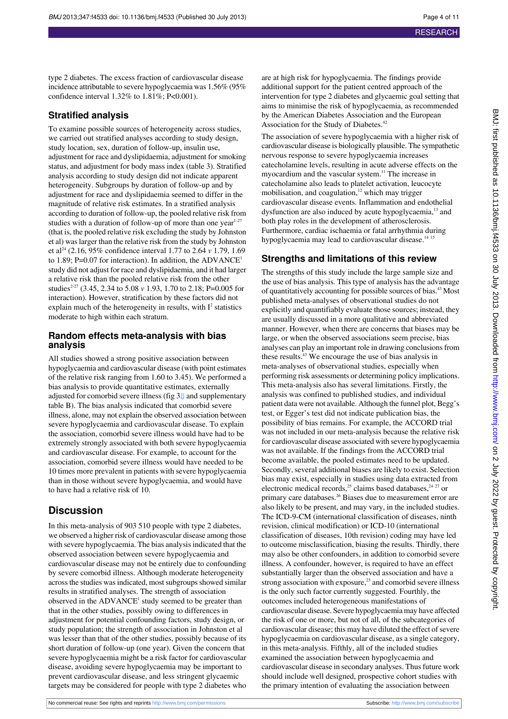type 2 diabetes. The excess fraction of cardiovascular disease incidence attributable to severe hypoglycaemia was 1.56% (95% confidence interval 1.32% to 1.81%; P<0.001).

#### **Stratified analysis**

To examine possible sources of heterogeneity across studies, we carried out stratified analyses according to study design, study location, sex, duration of follow-up, insulin use, adjustment for race and dyslipidaemia, adjustment for smoking status, and adjustment for body mass index (table 3). Stratified analysis according to study design did not indicate apparent heterogeneity. Subgroups by duration of follow-up and by adjustment for race and dyslipidaemia seemed to differ in the magnitude of relative risk estimates. In a stratified analysis according to duration of follow-up, the pooled relative risk from studies with a duration of follow-up of more than one year<sup>1-27</sup> (that is, the pooled relative risk excluding the study by Johnston et al) was larger than the relative risk from the study by Johnston et al<sup>24</sup> (2.16, 95% confidence interval 1.77 to 2.64 *v* 1.79, 1.69 to 1.89; P=0.07 for interaction). In addition, the ADVANCE<sup>1</sup> study did not adjust for race and dyslipidaemia, and it had larger a relative risk than the pooled relative risk from the other studies<sup>2-27</sup> (3.45, 2.34 to 5.08 *v* 1.93, 1.70 to 2.18; P=0.005 for interaction). However, stratification by these factors did not explain much of the heterogeneity in results, with  $I^2$  statistics moderate to high within each stratum.

#### **Random effects meta-analysis with bias analysis**

All studies showed a strong positive association between hypoglycaemia and cardiovascular disease (with point estimates of the relative risk ranging from 1.60 to 3.45). We performed a bias analysis to provide quantitative estimates, externally adjusted for comorbid severe illness (fig3[⇓](#page-10-0) and supplementary table B). The bias analysis indicated that comorbid severe illness, alone, may not explain the observed association between severe hypoglycaemia and cardiovascular disease. To explain the association, comorbid severe illness would have had to be extremely strongly associated with both severe hypoglycaemia and cardiovascular disease. For example, to account for the association, comorbid severe illness would have needed to be 10 times more prevalent in patients with severe hypoglycaemia than in those without severe hypoglycaemia, and would have to have had a relative risk of 10.

## **Discussion**

In this meta-analysis of 903 510 people with type 2 diabetes, we observed a higher risk of cardiovascular disease among those with severe hypoglycaemia. The bias analysis indicated that the observed association between severe hypoglycaemia and cardiovascular disease may not be entirely due to confounding by severe comorbid illness. Although moderate heterogeneity across the studies was indicated, most subgroups showed similar results in stratified analyses. The strength of association observed in the ADVANCE<sup>1</sup> study seemed to be greater than that in the other studies, possibly owing to differences in adjustment for potential confounding factors, study design, or study population; the strength of association in Johnston et al was lesser than that of the other studies, possibly because of its short duration of follow-up (one year). Given the concern that severe hypoglycaemia might be a risk factor for cardiovascular disease, avoiding severe hypoglycaemia may be important to prevent cardiovascular disease, and less stringent glycaemic targets may be considered for people with type 2 diabetes who

are at high risk for hypoglycaemia. The findings provide additional support for the patient centred approach of the intervention for type 2 diabetes and glycaemic goal setting that aims to minimise the risk of hypoglycaemia, as recommended by the American Diabetes Association and the European Association for the Study of Diabetes.<sup>42</sup>

The association of severe hypoglycaemia with a higher risk of cardiovascular disease is biologically plausible. The sympathetic nervous response to severe hypoglycaemia increases catecholamine levels, resulting in acute adverse effects on the myocardium and the vascular system.<sup>11</sup> The increase in catecholamine also leads to platelet activation, leucocyte mobilisation, and coagulation, $12$  which may trigger cardiovascular disease events. Inflammation and endothelial dysfunction are also induced by acute hypoglycaemia,<sup>13</sup> and both play roles in the development of atherosclerosis. Furthermore, cardiac ischaemia or fatal arrhythmia during hypoglycaemia may lead to cardiovascular disease.<sup>14 15</sup>

## **Strengths and limitations of this review**

The strengths of this study include the large sample size and the use of bias analysis. This type of analysis has the advantage of quantitatively accounting for possible sources of bias.<sup>43</sup> Most published meta-analyses of observational studies do not explicitly and quantifiably evaluate those sources; instead, they are usually discussed in a more qualitative and abbreviated manner. However, when there are concerns that biases may be large, or when the observed associations seem precise, bias analyses can play an important role in drawing conclusions from these results.<sup>43</sup> We encourage the use of bias analysis in meta-analyses of observational studies, especially when performing risk assessments or determining policy implications. This meta-analysis also has several limitations. Firstly, the analysis was confined to published studies, and individual patient data were not available. Although the funnel plot, Begg's test, or Egger's test did not indicate publication bias, the possibility of bias remains. For example, the ACCORD trial was not included in our meta-analysis because the relative risk for cardiovascular disease associated with severe hypoglycaemia was not available. If the findings from the ACCORD trial become available, the pooled estimates need to be updated. Secondly, several additional biases are likely to exist. Selection bias may exist, especially in studies using data extracted from electronic medical records,<sup>25</sup> claims based databases, $24 27$  or primary care databases.<sup>26</sup> Biases due to measurement error are also likely to be present, and may vary, in the included studies. The ICD-9-CM (international classification of diseases, ninth revision, clinical modification) or ICD-10 (international classification of diseases, 10th revision) coding may have led to outcome misclassification, biasing the results. Thirdly, there may also be other confounders, in addition to comorbid severe illness. A confounder, however, is required to have an effect substantially larger than the observed association and have a strong association with exposure,<sup>23</sup> and comorbid severe illness is the only such factor currently suggested. Fourthly, the outcomes included heterogeneous manifestations of cardiovascular disease. Severe hypoglycaemia may have affected the risk of one or more, but not of all, of the subcategories of cardiovascular disease; this may have diluted the effect of severe hypoglycaemia on cardiovascular disease, as a single category, in this meta-analysis. Fifthly, all of the included studies examined the association between hypoglycaemia and cardiovascular disease in secondary analyses. Thus future work should include well designed, prospective cohort studies with the primary intention of evaluating the association between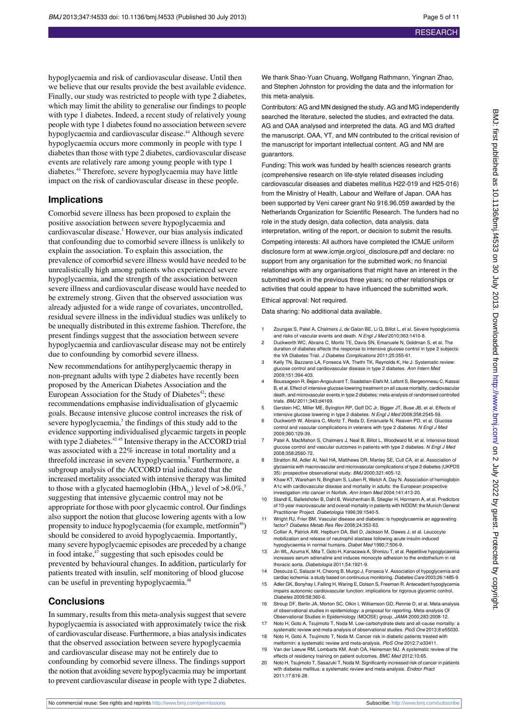hypoglycaemia and risk of cardiovascular disease. Until then we believe that our results provide the best available evidence. Finally, our study was restricted to people with type 2 diabetes, which may limit the ability to generalise our findings to people with type 1 diabetes. Indeed, a recent study of relatively young people with type 1 diabetes found no association between severe hypoglycaemia and cardiovascular disease.<sup>44</sup> Although severe hypoglycaemia occurs more commonly in people with type 1 diabetes than those with type 2 diabetes, cardiovascular disease events are relatively rare among young people with type 1 diabetes.<sup>44</sup> Therefore, severe hypoglycaemia may have little impact on the risk of cardiovascular disease in these people.

#### **Implications**

Comorbid severe illness has been proposed to explain the positive association between severe hypoglycaemia and cardiovascular disease.<sup>1</sup> However, our bias analysis indicated that confounding due to comorbid severe illness is unlikely to explain the association. To explain this association, the prevalence of comorbid severe illness would have needed to be unrealistically high among patients who experienced severe hypoglycaemia, and the strength of the association between severe illness and cardiovascular disease would have needed to be extremely strong. Given that the observed association was already adjusted for a wide range of covariates, uncontrolled, residual severe illness in the individual studies was unlikely to be unequally distributed in this extreme fashion. Therefore, the present findings suggest that the association between severe hypoglycaemia and cardiovascular disease may not be entirely due to confounding by comorbid severe illness.

New recommendations for antihyperglycaemic therapy in non-pregnant adults with type 2 diabetes have recently been proposed by the American Diabetes Association and the European Association for the Study of Diabetes $42$ ; these recommendations emphasise individualisation of glycaemic goals. Because intensive glucose control increases the risk of severe hypoglycaemia,<sup>3</sup> the findings of this study add to the evidence supporting individualised glycaemic targets in people with type 2 diabetes.<sup>42 45</sup> Intensive therapy in the ACCORD trial was associated with a 22% increase in total mortality and a threefold increase in severe hypoglycaemia.<sup>5</sup> Furthermore, a subgroup analysis of the ACCORD trial indicated that the increased mortality associated with intensive therapy was limited to those with a glycated haemoglobin (HbA<sub>1c</sub>) level of  $>8.0\%$ ,<sup>5</sup> suggesting that intensive glycaemic control may not be appropriate for those with poor glycaemic control. Our findings also support the notion that glucose lowering agents with a low propensity to induce hypoglycaemia (for example, metformin<sup>46</sup>) should be considered to avoid hypoglycaemia. Importantly, many severe hypoglycaemic episodes are preceded by a change in food intake, $47$  suggesting that such episodes could be prevented by behavioural changes. In addition, particularly for patients treated with insulin, self monitoring of blood glucose can be useful in preventing hypoglycaemia.<sup>4</sup>

#### **Conclusions**

In summary, results from this meta-analysis suggest that severe hypoglycaemia is associated with approximately twice the risk of cardiovascular disease. Furthermore, a bias analysis indicates that the observed association between severe hypoglycaemia and cardiovascular disease may not be entirely due to confounding by comorbid severe illness. The findings support the notion that avoiding severe hypoglycaemia may be important to prevent cardiovascular disease in people with type 2 diabetes.

We thank Shao-Yuan Chuang, Wolfgang Rathmann, Yingnan Zhao, and Stephen Johnston for providing the data and the information for this meta-analysis.

Contributors: AG and MN designed the study. AG and MG independently searched the literature, selected the studies, and extracted the data. AG and OAA analysed and interpreted the data. AG and MG drafted the manuscript. OAA, YT, and MN contributed to the critical revision of the manuscript for important intellectual content. AG and NM are guarantors.

Funding: This work was funded by health sciences research grants (comprehensive research on life-style related diseases including cardiovascular diseases and diabetes mellitus H22-019 and H25-016) from the Ministry of Health, Labour and Welfare of Japan. OAA has been supported by Veni career grant No 916.96.059 awarded by the Netherlands Organization for Scientific Research. The funders had no role in the study design, data collection, data analysis, data interpretation, writing of the report, or decision to submit the results.

Competing interests: All authors have completed the ICMJE uniform disclosure form at [www.icmje.org/coi\\_disclosure.pdf](http://www.icmje.org/coi_disclosure.pdf) and declare: no support from any organisation for the submitted work; no financial relationships with any organisations that might have an interest in the submitted work in the previous three years; no other relationships or activities that could appear to have influenced the submitted work.

#### Ethical approval: Not required.

Data sharing: No additional data available.

- 1 Zoungas S, Patel A, Chalmers J, de Galan BE, Li Q, Billot L, et al. Severe hypoglycemia and risks of vascular events and death. N Engl J Med 2010;363:1410-8.
- 2 Duckworth WC, Abraira C, Moritz TE, Davis SN, Emanuele N, Goldman S, et al. The duration of diabetes affects the response to intensive glucose control in type 2 subjects: the VA Diabetes Trial. J Diabetes Complications 2011;25:355-61.
- 3 Kelly TN, Bazzano LA, Fonseca VA, Thethi TK, Reynolds K, He J. Systematic review: glucose control and cardiovascular disease in type 2 diabetes. Ann Intern Med 2009;151:394-403.
- 4 Boussageon R, Bejan-Angoulvant T, Saadatian-Elahi M, Lafont S, Bergeonneau C, Kassai B, et al. Effect of intensive glucose lowering treatment on all cause mortality, cardiovascular death, and microvascular events in type 2 diabetes: meta-analysis of randomised controlled trials. BMJ 2011;343:d4169.
- 5 Gerstein HC, Miller ME, Byington RP, Goff DC Jr, Bigger JT, Buse JB, et al. Effects of intensive glucose lowering in type 2 diabetes. N Engl J Med 2008;358:2545-59.
- Duckworth W, Abraira C, Moritz T, Reda D, Emanuele N, Reaven PD, et al. Glucose control and vascular complications in veterans with type 2 diabetes. N Engl J Med 2009;360:129-39.
- Patel A, MacMahon S, Chalmers J, Neal B, Billot L, Woodward M, et al. Int glucose control and vascular outcomes in patients with type 2 diabetes. N Engl J Med 2008;358:2560-72.
- Stratton IM, Adler AI, Neil HA, Matthews DR, Manley SE, Cull CA, et al. Association of glycaemia with macrovascular and microvascular complications of type 2 diabetes (UKPDS 35): prospective observational study. BMJ 2000;321:405-12.
- 9 Khaw KT, Wareham N, Bingham S, Luben R, Welch A, Day N. Association of hemoglobin A1c with cardiovascular disease and mortality in adults: the European prospective investigation into cancer in Norfolk. Ann Intern Med 2004;141:413-20.
- 10 Standl E, Balletshofer B, Dahl B, Weichenhain B, Stiegler H, Hormann A, et al. Predictors of 10-year macrovascular and overall mortality in patients with NIDDM: the Munich General Practitioner Project. Diabetologia 1996;39:1540-5.
- 11 Wright RJ, Frier BM. Vascular disease and diabetes: is hypoglycaemia an aggravating factor? Diabetes Metab Res Rev 2008;24:353-63.
- 12 Collier A, Patrick AW, Hepburn DA, Bell D, Jackson M, Dawes J, et al. Leucocyte mobilization and release of neutrophil elastase following acute insulin-induced hypoglycaemia in normal humans. Diabet Med 1990;7:506-9.
- 13 Jin WL, Azuma K, Mita T, Goto H, Kanazawa A, Shimizu T, et al. Repetitive hypoglycaemia increases serum adrenaline and induces monocyte adhesion to the endothelium in rat thoracic aorta. Diabetologia 2011;54:1921-9.
- 14 Desouza C, Salazar H, Cheong B, Murgo J, Fonseca V. Association of hypoglycemia and cardiac ischemia: a study based on continuous monitoring. Diabetes Care 2003;26:1485-9.
- 15 Adler GK, Bonyhay I, Failing H, Waring E, Dotson S, Freeman R. Antecedent hypoglycemia impairs autonomic cardiovascular function: implications for rigorous glycemic control.
- Diabetes 2009;58:360-6. 16 Stroup DF, Berlin JA, Morton SC, Olkin I, Williamson GD, Rennie D, et al. Meta-analysis of observational studies in epidemiology: a proposal for reporting. Meta-analysis Of Observational Studies in Epidemiology (MOOSE) group. JAMA 2000;283:2008-12.
- 17 Noto H, Goto A, Tsujimoto T, Noda M. Low-carbohydrate diets and all-cause mortality: a
- systematic review and meta-analysis of observational studies. PloS One 2013;8:e55030. 18 Noto H, Goto A, Tsujimoto T, Noda M. Cancer risk in diabetic patients treated with
- metformin: a systematic review and meta-analysis. PloS One 2012:7:e33411. Van der Leeuw RM, Lombarts KM, Arah OA, Heineman MJ. A systematic review of the effects of residency training on patient outcomes. BMC Med 2012;10:65.
- 20 Noto H, Tsujimoto T, Sasazuki T, Noda M. Significantly increased risk of cancer in patients with diabetes mellitus: a systematic review and meta-analysis. Endocr Pract 2011;17:616-28.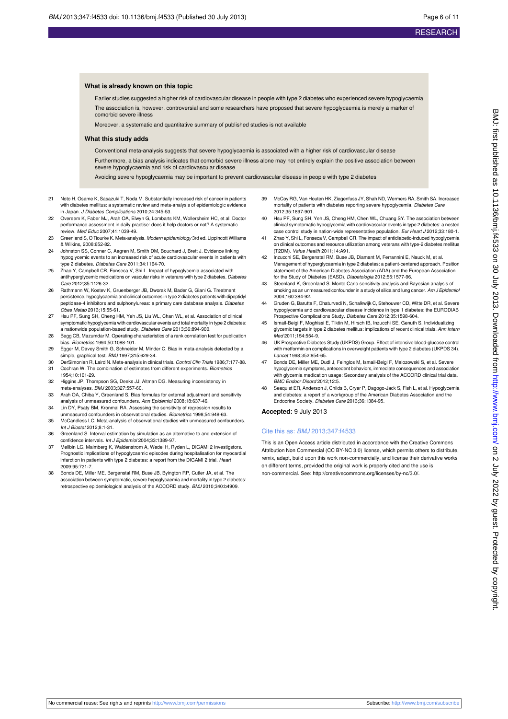#### **What is already known on this topic**

Earlier studies suggested a higher risk of cardiovascular disease in people with type 2 diabetes who experienced severe hypoglycaemia The association is, however, controversial and some researchers have proposed that severe hypoglycaemia is merely a marker of comorbid severe illness

Moreover, a systematic and quantitative summary of published studies is not available

#### **What this study adds**

Conventional meta-analysis suggests that severe hypoglycaemia is associated with a higher risk of cardiovascular disease

Furthermore, a bias analysis indicates that comorbid severe illness alone may not entirely explain the positive association between severe hypoglycaemia and risk of cardiovascular disease

Avoiding severe hypoglycaemia may be important to prevent cardiovascular disease in people with type 2 diabetes

- Noto H, Osame K, Sasazuki T, Noda M. Substantially increased risk of cancer in patients with diabetes mellitus: a systematic review and meta-analysis of epidemiologic evidence in Japan. J Diabetes Complications 2010;24:345-53.
- 22 Overeem K, Faber MJ, Arah OA, Elwyn G, Lombarts KM, Wollersheim HC, et al. Doctor performance assessment in daily practise: does it help doctors or not? A systematic review. Med Educ 2007;41:1039-49.
- 23 Greenland S, O'Rourke K. Meta-analysis. Modern epidemiology 3rd ed. Lippincott Williams & Wilkins, 2008:652-82.
- 24 Johnston SS, Conner C, Aagren M, Smith DM, Bouchard J, Brett J. Evidence linking hypoglycemic events to an increased risk of acute cardiovascular events in patients with type 2 diabetes. Diabetes Care 2011;34:1164-70.
- 25 Zhao Y, Campbell CR, Fonseca V, Shi L. Impact of hypoglycemia associated with antihyperglycemic medications on vascular risks in veterans with type 2 diabetes. Diabetes Care 2012;35:1126-32.
- 26 Rathmann W, Kostev K, Gruenberger JB, Dworak M, Bader G, Giani G. Treatment persistence, hypoglycaemia and clinical outcomes in type 2 diabetes patients with dipeptidyl peptidase-4 inhibitors and sulphonylureas: a primary care database analysis. Diabetes Obes Metab 2013;15:55-61.
- 27 Hsu PF, Sung SH, Cheng HM, Yeh JS, Liu WL, Chan WL, et al. Association of clinical symptomatic hypoglycemia with cardiovascular events and total mortality in type 2 diabetes: a nationwide population-based study. Diabetes Care 2013;36:894-900.
- 28 Begg CB, Mazumdar M. Operating characteristics of a rank correlation test for publication bias. Biometrics 1994;50:1088-101.
- 29 Egger M, Davey Smith G, Schneider M, Minder C. Bias in meta-analysis detected by a simple, graphical test. BMJ 1997;315:629-34.
- 30 DerSimonian R, Laird N. Meta-analysis in clinical trials. Control Clin Trials 1986;7:177-88.<br>31 Cochran W. The combination of estimates from different experiments. Biometrics Cochran W. The combination of estimates from different experiments. Biometrics
- 1954;10:101-29. 32 Higgins JP, Thompson SG, Deeks JJ, Altman DG. Measuring inconsistency in meta-analyses. BMJ 2003;327:557-60.
- 33 Arah OA, Chiba Y, Greenland S. Bias formulas for external adjustment and sensitivity analysis of unmeasured confounders. Ann Epidemiol 2008;18:637-46.
- 34 Lin DY, Psaty BM, Kronmal RA. Assessing the sensitivity of regression results to unmeasured confounders in observational studies. Biometrics 1998;54:948-63.
- 35 McCandless LC. Meta-analysis of observational studies with unmeasured confounders. Int J Biostat 2012;8:1-31.
- 36 Greenland S. Interval estimation by simulation as an alternative to and extension of confidence intervals. Int J Epidemiol 2004;33:1389-97.
- 37 Mellbin LG, Malmberg K, Waldenstrom A, Wedel H, Ryden L, DIGAMI 2 Investigstors. Prognostic implications of hypoglycaemic episodes during hospitalisation for myocardial infarction in patients with type 2 diabetes: a report from the DIGAMI 2 trial. Heart 2009;95:721-7.
- 38 Bonds DE, Miller ME, Bergenstal RM, Buse JB, Byington RP, Cutler JA, et al. The association between symptomatic, severe hypoglycaemia and mortality in type 2 diabetes: retrospective epidemiological analysis of the ACCORD study. BMJ 2010;340:b4909.
- 39 McCoy RG, Van Houten HK, Ziegenfuss JY, Shah ND, Wermers RA, Smith SA. Increased mortality of patients with diabetes reporting severe hypoglycemia. Diabetes Care 2012;35:1897-901.
- 40 Hsu PF, Sung SH, Yeh JS, Cheng HM, Chen WL, Chuang SY. The association between clinical symptomatic hypoglycemia with cardiovascular events in type 2 diabetes: a nested case control study in nation-wide representative population. Eur Heart J 2012;33:180-1.
- 41 Zhao Y, Shi L, Fonseca V, Campbell CR. The impact of antidiabetic-induced hypoglycemia on clinical outcomes and resource utilization among veterans with type-2 diabetes mellitus (T2DM). Value Health 2011;14:A91.
- 42 Inzucchi SE, Bergenstal RM, Buse JB, Diamant M, Ferrannini E, Nauck M, et al. Management of hyperglycaemia in type 2 diabetes: a patient-centered approach. Position statement of the American Diabetes Association (ADA) and the European Association for the Study of Diabetes (EASD). Diabetologia 2012;55:1577-96.
- 43 Steenland K, Greenland S. Monte Carlo sensitivity analysis and Bayesian analysis of smoking as an unmeasured confounder in a study of silica and lung cancer. Am J Epidemiol 2004;160:384-92.
- 44 Gruden G, Barutta F, Chaturvedi N, Schalkwijk C, Stehouwer CD, Witte DR, et al. Severe hypoglycemia and cardiovascular disease incidence in type 1 diabetes: the EURODIAB Prospective Complications Study. Diabetes Care 2012;35:1598-604.
- 45 Ismail-Beigi F, Moghissi E, Tiktin M, Hirsch IB, Inzucchi SE, Genuth S. Individualizing glycemic targets in type 2 diabetes mellitus: implications of recent clinical trials. Ann Intern Med 2011;154:554-9.
- 46 UK Prospective Diabetes Study (UKPDS) Group. Effect of intensive blood-glucose control with metformin on complications in overweight patients with type 2 diabetes (UKPDS 34). Lancet 1998;352:854-65.
- 47 Bonds DE, Miller ME, Dudl J, Feinglos M, Ismail-Beigi F, Malozowski S, et al. Severe hypoglycemia symptoms, antecedent behaviors, immediate consequences and association with glycemia medication usage: Secondary analysis of the ACCORD clinical trial data. BMC Endocr Disord 2012;12:5.
- Seaquist ER, Anderson J, Childs B, Cryer P, Dagogo-Jack S, Fish L, et al. Hypoglycemia and diabetes: a report of a workgroup of the American Diabetes Association and the Endocrine Society. Diabetes Care 2013;36:1384-95.

#### **Accepted:** 9 July 2013

#### Cite this as: BMJ 2013;347:f4533

This is an Open Access article distributed in accordance with the Creative Commons Attribution Non Commercial (CC BY-NC 3.0) license, which permits others to distribute, remix, adapt, build upon this work non-commercially, and license their derivative works on different terms, provided the original work is properly cited and the use is non-commercial. See:<http://creativecommons.org/licenses/by-nc/3.0/>.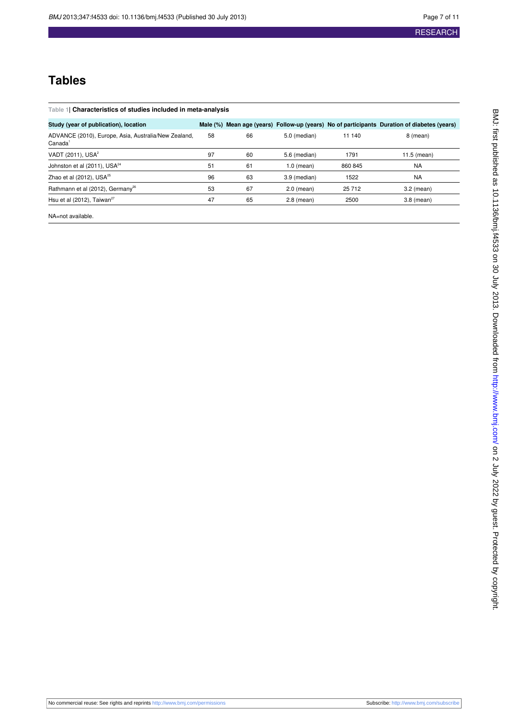## **Tables**

<span id="page-6-0"></span>

| Table 1  Characteristics of studies included in meta-analysis               |    |    |              |         |                                                                                             |
|-----------------------------------------------------------------------------|----|----|--------------|---------|---------------------------------------------------------------------------------------------|
| Study (year of publication), location                                       |    |    |              |         | Male (%) Mean age (years) Follow-up (years) No of participants Duration of diabetes (years) |
| ADVANCE (2010), Europe, Asia, Australia/New Zealand,<br>Canada <sup>1</sup> | 58 | 66 | 5.0 (median) | 11 140  | 8 (mean)                                                                                    |
| VADT (2011), USA <sup>2</sup>                                               | 97 | 60 | 5.6 (median) | 1791    | $11.5$ (mean)                                                                               |
| Johnston et al (2011), USA <sup>24</sup>                                    | 51 | 61 | $1.0$ (mean) | 860 845 | <b>NA</b>                                                                                   |
| Zhao et al $(2012)$ , USA $^{25}$                                           | 96 | 63 | 3.9 (median) | 1522    | <b>NA</b>                                                                                   |
| Rathmann et al (2012), Germany <sup>26</sup>                                | 53 | 67 | $2.0$ (mean) | 25 712  | $3.2$ (mean)                                                                                |
| Hsu et al $(2012)$ , Taiwan <sup>27</sup>                                   | 47 | 65 | $2.8$ (mean) | 2500    | $3.8$ (mean)                                                                                |
| NA=not available.                                                           |    |    |              |         |                                                                                             |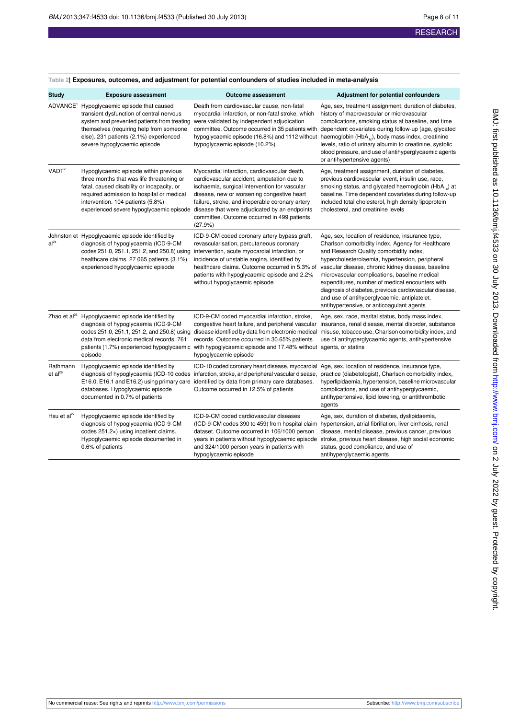## **RESEARCH**

| <b>Study</b>             | <b>Exposure assessment</b>                                                                                                                                                                                                                                             | <b>Outcome assessment</b>                                                                                                                                                                                                                                                                                                                               | Adjustment for potential confounders                                                                                                                                                                                                                                                                                                                                                                                                                                                                                  |  |
|--------------------------|------------------------------------------------------------------------------------------------------------------------------------------------------------------------------------------------------------------------------------------------------------------------|---------------------------------------------------------------------------------------------------------------------------------------------------------------------------------------------------------------------------------------------------------------------------------------------------------------------------------------------------------|-----------------------------------------------------------------------------------------------------------------------------------------------------------------------------------------------------------------------------------------------------------------------------------------------------------------------------------------------------------------------------------------------------------------------------------------------------------------------------------------------------------------------|--|
|                          | ADVANCE <sup>1</sup> Hypoglycaemic episode that caused<br>transient dysfunction of central nervous<br>system and prevented patients from treating<br>themselves (requiring help from someone<br>else). 231 patients (2.1%) experienced<br>severe hypoglycaemic episode | Death from cardiovascular cause, non-fatal<br>myocardial infarction, or non-fatal stroke, which<br>were validated by independent adjudication<br>committee. Outcome occurred in 35 patients with<br>hypoglycaemic episode (16.8%) and 1112 without<br>hypoglycaemic episode (10.2%)                                                                     | Age, sex, treatment assignment, duration of diabetes,<br>history of macrovascular or microvascular<br>complications, smoking status at baseline, and time<br>dependent covariates during follow-up (age, glycated<br>haemoglobin (HbA <sub>1c</sub> ), body mass index, creatinine<br>levels, ratio of urinary albumin to creatinine, systolic<br>blood pressure, and use of antihyperglycaemic agents<br>or antihypertensive agents)                                                                                 |  |
| VADT <sup>2</sup>        | Hypoglycaemic episode within previous<br>three months that was life threatening or<br>fatal, caused disability or incapacity, or<br>required admission to hospital or medical<br>intervention. 104 patients (5.8%)<br>experienced severe hypoglycaemic episode         | Myocardial infarction, cardiovascular death,<br>cardiovascular accident, amputation due to<br>ischaemia, surgical intervention for vascular<br>disease, new or worsening congestive heart<br>failure, stroke, and inoperable coronary artery<br>disease that were adjudicated by an endpoints<br>committee. Outcome occurred in 499 patients<br>(27.9%) | Age, treatment assignment, duration of diabetes,<br>previous cardiovascular event, insulin use, race,<br>smoking status, and glycated haemoglobin (HbA <sub>1c</sub> ) at<br>baseline. Time dependent covariates during follow-up<br>included total cholesterol, high density lipoprotein<br>cholesterol, and creatinine levels                                                                                                                                                                                       |  |
| al <sup>24</sup>         | Johnston et Hypoglycaemic episode identified by<br>diagnosis of hypoglycaemia (ICD-9-CM<br>codes 251.0, 251.1, 251.2, and 250.8) using<br>healthcare claims. 27 065 patients (3.1%)<br>experienced hypoglycaemic episode                                               | ICD-9-CM coded coronary artery bypass graft,<br>revascularisation, percutaneous coronary<br>intervention, acute myocardial infarction, or<br>incidence of unstable angina, identified by<br>healthcare claims. Outcome occurred in 5.3% of<br>patients with hypoglycaemic episode and 2.2%<br>without hypoglycaemic episode                             | Age, sex, location of residence, insurance type,<br>Charlson comorbidity index, Agency for Healthcare<br>and Research Quality comorbidity index,<br>hypercholesterolaemia, hypertension, peripheral<br>vascular disease, chronic kidney disease, baseline<br>microvascular complications, baseline medical<br>expenditures, number of medical encounters with<br>diagnosis of diabetes, previous cardiovascular disease,<br>and use of antihyperglycaemic, antiplatelet,<br>antihypertensive, or anticoagulant agents |  |
| Zhao et al <sup>25</sup> | Hypoglycaemic episode identified by<br>diagnosis of hypoglycaemia (ICD-9-CM<br>codes 251.0, 251.1, 251.2, and 250.8) using<br>data from electronic medical records. 761<br>patients (1.7%) experienced hypoglycaemic<br>episode                                        | ICD-9-CM coded myocardial infarction, stroke,<br>congestive heart failure, and peripheral vascular<br>disease identified by data from electronic medical<br>records. Outcome occurred in 30.65% patients<br>with hypoglycaemic episode and 17.48% without agents, or statins<br>hypoglycaemic episode                                                   | Age, sex, race, marital status, body mass index,<br>insurance, renal disease, mental disorder, substance<br>misuse, tobacco use, Charlson comorbidity index, and<br>use of antihyperglycaemic agents, antihypertensive                                                                                                                                                                                                                                                                                                |  |
| Rathmann<br>$et al^{26}$ | Hypoglycaemic episode identified by<br>diagnosis of hypoglycaemia (ICD-10 codes<br>E16.0, E16.1 and E16.2) using primary care<br>databases. Hypoglycaemic episode<br>documented in 0.7% of patients                                                                    | infarction, stroke, and peripheral vascular disease,<br>identified by data from primary care databases.<br>Outcome occurred in 12.5% of patients                                                                                                                                                                                                        | ICD-10 coded coronary heart disease, myocardial Age, sex, location of residence, insurance type,<br>practice (diabetologist), Charlson comorbidity index,<br>hyperlipidaemia, hypertension, baseline microvascular<br>complications, and use of antihyperglycaemic,<br>antihypertensive, lipid lowering, or antithrombotic<br>agents                                                                                                                                                                                  |  |
| Hsu et $al^{27}$         | Hypoglycaemic episode identified by<br>diagnosis of hypoglycaemia (ICD-9-CM<br>codes 251.2×) using inpatient claims.<br>Hypoglycaemic episode documented in<br>0.6% of patients                                                                                        | ICD-9-CM coded cardiovascular diseases<br>dataset. Outcome occurred in 106/1000 person<br>and 324/1000 person years in patients with<br>hypoglycaemic episode                                                                                                                                                                                           | Age, sex, duration of diabetes, dyslipidaemia,<br>(ICD-9-CM codes 390 to 459) from hospital claim hypertension, atrial fibrillation, liver cirrhosis, renal<br>disease, mental disease, previous cancer, previous<br>years in patients without hypoglycaemic episode stroke, previous heart disease, high social economic<br>status, good compliance, and use of<br>antihyperglycaemic agents                                                                                                                         |  |

#### <span id="page-7-0"></span>**Table 2| Exposures, outcomes, and adjustment for potential confounders of studies included in meta-analysis**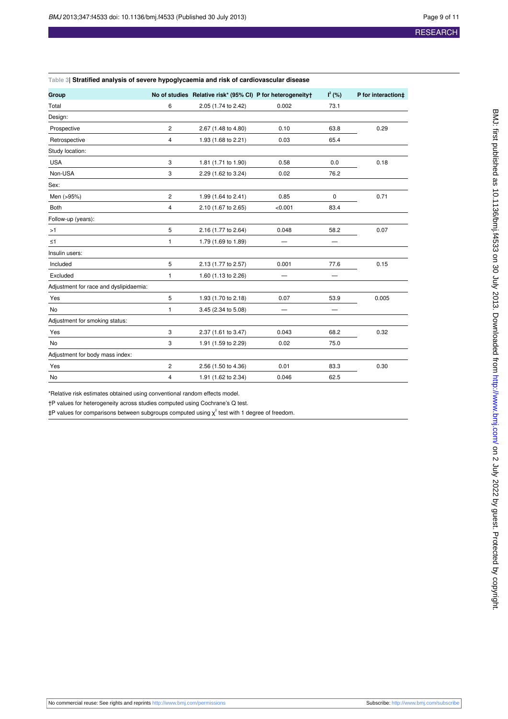#### <span id="page-8-0"></span>**Table 3| Stratified analysis of severe hypoglycaemia and risk of cardiovascular disease**

| Group                                  |                | No of studies Relative risk* (95% CI) P for heterogeneity+ |         | $I^2$ (%) | P for interaction‡ |  |
|----------------------------------------|----------------|------------------------------------------------------------|---------|-----------|--------------------|--|
| Total                                  | 6              | 2.05 (1.74 to 2.42)                                        | 0.002   | 73.1      |                    |  |
| Design:                                |                |                                                            |         |           |                    |  |
| Prospective                            | 2              | 2.67 (1.48 to 4.80)                                        | 0.10    | 63.8      | 0.29               |  |
| Retrospective                          | 4              | 1.93 (1.68 to 2.21)                                        | 0.03    | 65.4      |                    |  |
| Study location:                        |                |                                                            |         |           |                    |  |
| <b>USA</b>                             | 3              | 1.81 (1.71 to 1.90)                                        | 0.58    | 0.0       | 0.18               |  |
| Non-USA                                | 3              | 2.29 (1.62 to 3.24)                                        | 0.02    | 76.2      |                    |  |
| Sex:                                   |                |                                                            |         |           |                    |  |
| Men (>95%)                             | 2              | 1.99 (1.64 to 2.41)                                        | 0.85    | 0         | 0.71               |  |
| <b>Both</b>                            | 4              | 2.10 (1.67 to 2.65)                                        | < 0.001 | 83.4      |                    |  |
| Follow-up (years):                     |                |                                                            |         |           |                    |  |
| >1                                     | 5              | 2.16 (1.77 to 2.64)                                        | 0.048   | 58.2      | 0.07               |  |
| $\leq 1$                               | 1              | 1.79 (1.69 to 1.89)                                        |         |           |                    |  |
| Insulin users:                         |                |                                                            |         |           |                    |  |
| Included                               | 5              | 2.13 (1.77 to 2.57)                                        | 0.001   | 77.6      | 0.15               |  |
| Excluded                               | 1              | 1.60 (1.13 to 2.26)                                        |         |           |                    |  |
| Adjustment for race and dyslipidaemia: |                |                                                            |         |           |                    |  |
| Yes                                    | 5              | 1.93 (1.70 to 2.18)                                        | 0.07    | 53.9      | 0.005              |  |
| <b>No</b>                              | $\mathbf{1}$   | 3.45 (2.34 to 5.08)                                        | -       |           |                    |  |
| Adjustment for smoking status:         |                |                                                            |         |           |                    |  |
| Yes                                    | 3              | 2.37 (1.61 to 3.47)                                        | 0.043   | 68.2      | 0.32               |  |
| No                                     | 3              | 1.91 (1.59 to 2.29)                                        | 0.02    | 75.0      |                    |  |
| Adjustment for body mass index:        |                |                                                            |         |           |                    |  |
| Yes                                    | $\overline{c}$ | 2.56 (1.50 to 4.36)                                        | 0.01    | 83.3      | 0.30               |  |
| No                                     | 4              | 1.91 (1.62 to 2.34)                                        | 0.046   | 62.5      |                    |  |

\*Relative risk estimates obtained using conventional random effects model.

†P values for heterogeneity across studies computed using Cochrane's Q test.

 $\ddagger$ P values for comparisons between subgroups computed using  $\chi^2$  test with 1 degree of freedom.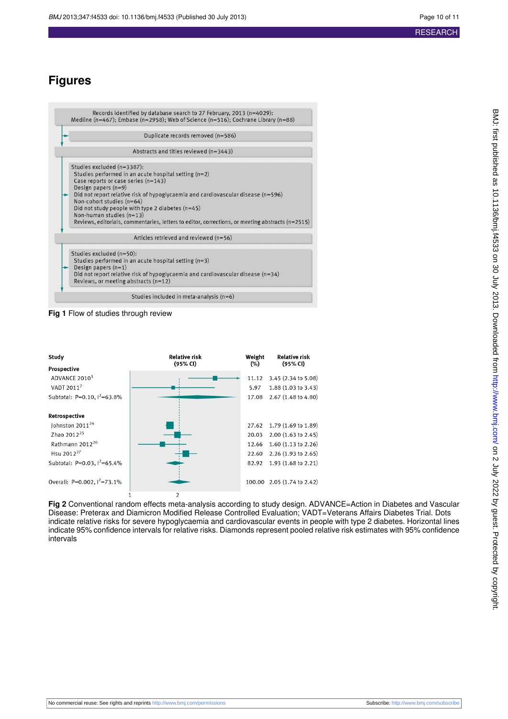## **Figures**

<span id="page-9-0"></span>

|                                                                                                                                                                                                                                                                                                                                                                                                                                                             | Records identified by database search to 27 February, 2013 (n=4029):<br>Medline (n=467); Embase (n=2958); Web of Science (n=516); Cochrane Library (n=88)                                                                                  |  |  |  |  |
|-------------------------------------------------------------------------------------------------------------------------------------------------------------------------------------------------------------------------------------------------------------------------------------------------------------------------------------------------------------------------------------------------------------------------------------------------------------|--------------------------------------------------------------------------------------------------------------------------------------------------------------------------------------------------------------------------------------------|--|--|--|--|
|                                                                                                                                                                                                                                                                                                                                                                                                                                                             | Duplicate records removed (n=586)                                                                                                                                                                                                          |  |  |  |  |
|                                                                                                                                                                                                                                                                                                                                                                                                                                                             | Abstracts and titles reviewed (n=3443)                                                                                                                                                                                                     |  |  |  |  |
| Studies excluded (n=3387):<br>Studies performed in an acute hospital setting $(n=2)$<br>Case reports or case series (n=143)<br>Design papers $(n=9)$<br>Did not report relative risk of hypoglycaemia and cardiovascular disease (n=596)<br>Non-cohort studies (n=64)<br>Did not study people with type 2 diabetes $(n=45)$<br>Non-human studies (n=13)<br>Reviews, editorials, commentaries, letters to editor, corrections, or meeting abstracts (n=2515) |                                                                                                                                                                                                                                            |  |  |  |  |
|                                                                                                                                                                                                                                                                                                                                                                                                                                                             | Articles retrieved and reviewed (n=56)                                                                                                                                                                                                     |  |  |  |  |
|                                                                                                                                                                                                                                                                                                                                                                                                                                                             | Studies excluded (n=50):<br>Studies performed in an acute hospital setting $(n=3)$<br>Design papers $(n=1)$<br>Did not report relative risk of hypoglycaemia and cardiovascular disease $(n=34)$<br>Reviews, or meeting abstracts $(n=12)$ |  |  |  |  |
| Studies included in meta-analysis $(n=6)$                                                                                                                                                                                                                                                                                                                                                                                                                   |                                                                                                                                                                                                                                            |  |  |  |  |

<span id="page-9-1"></span>**Fig 1** Flow of studies through review

| Study                                                                                                                                                                                                | Relative risk | Weight                                    | <b>Relative risk</b>                                                                                                                                              |
|------------------------------------------------------------------------------------------------------------------------------------------------------------------------------------------------------|---------------|-------------------------------------------|-------------------------------------------------------------------------------------------------------------------------------------------------------------------|
| Prospective                                                                                                                                                                                          | (95% CI)      | $(\%)$                                    | (95% CI)                                                                                                                                                          |
| ADVANCE 2010 <sup>1</sup>                                                                                                                                                                            |               | 11.12                                     | 3.45 (2.34 to 5.08)                                                                                                                                               |
| VADT 2011 <sup>2</sup>                                                                                                                                                                               |               | 5.97                                      | $1.88(1.03 \text{ to } 3.43)$                                                                                                                                     |
| Subtotal: P=0.10, $1^{2}$ =63.8%                                                                                                                                                                     |               | 17.08                                     | 2.67 (1.48 to 4.80)                                                                                                                                               |
| Retrospective<br>Johnston 2011 <sup>24</sup><br>Zhao 2012 <sup>25</sup><br>Rathmann 2012 <sup>26</sup><br>Hsu 2012 <sup>27</sup><br>Subtotal: P=0.03, $1^2$ =65.4%<br>Overall: P=0.002, $1^2$ =73.1% |               | 27.62<br>20.03<br>12.66<br>22.60<br>82.92 | 1.79 (1.69 to 1.89)<br>$2.00$ $(1.63$ to $2.45)$<br>1.60 $(1.13$ to 2.26)<br>$2.26$ (1.93 to 2.65)<br>$1.93(1.68 \text{ to } 2.21)$<br>100.00 2.05 (1.74 to 2.42) |

**Fig 2** Conventional random effects meta-analysis according to study design. ADVANCE=Action in Diabetes and Vascular Disease: Preterax and Diamicron Modified Release Controlled Evaluation; VADT=Veterans Affairs Diabetes Trial. Dots indicate relative risks for severe hypoglycaemia and cardiovascular events in people with type 2 diabetes. Horizontal lines indicate 95% confidence intervals for relative risks. Diamonds represent pooled relative risk estimates with 95% confidence intervals